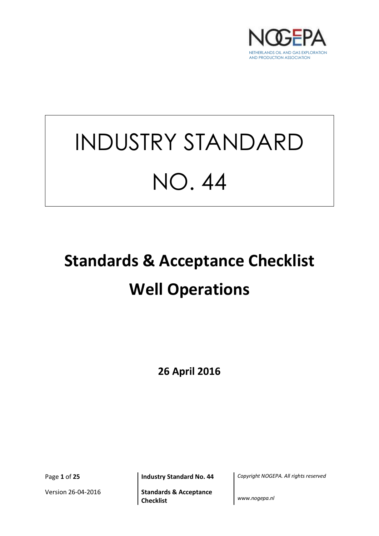

# INDUSTRY STANDARD NO. 44

## **Standards & Acceptance Checklist Well Operations**

**26 April 2016**

Version 26-04-2016 **Standards & Acceptance Checklist** *www.nogepa.nl*

Page **1** of **25 Industry Standard No. 44** *Copyright NOGEPA. All rights reserved*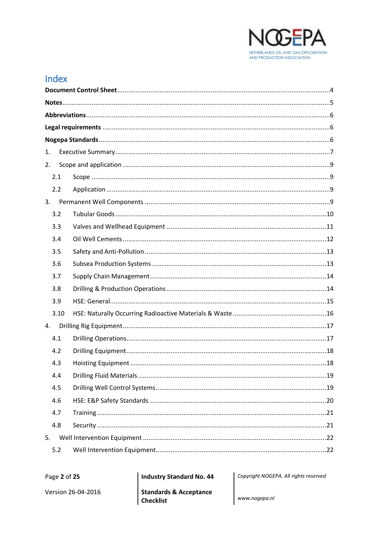

## Index

| 1.  |      |  |
|-----|------|--|
| 2.  |      |  |
| 2.1 |      |  |
| 2.2 |      |  |
| 3.  |      |  |
| 3.2 |      |  |
| 3.3 |      |  |
| 3.4 |      |  |
| 3.5 |      |  |
| 3.6 |      |  |
| 3.7 |      |  |
| 3.8 |      |  |
| 3.9 |      |  |
|     | 3.10 |  |
| 4.  |      |  |
| 4.1 |      |  |
| 4.2 |      |  |
| 4.3 |      |  |
| 4.4 |      |  |
| 4.5 |      |  |
| 4.6 |      |  |
| 4.7 |      |  |
| 4.8 |      |  |
| 5.  |      |  |
| 5.2 |      |  |

**Industry Standard No. 44** 

Copyright NOGEPA. All rights reserved

Version 26-04-2016

**Standards & Acceptance Checklist** 

www.nogepa.nl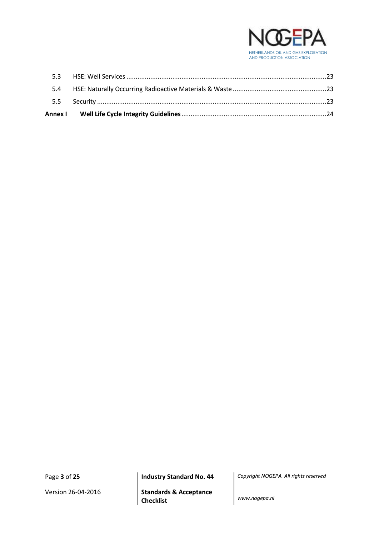

Version 26-04-2016 **Standards & Acceptance Checklist** *www.nogepa.nl*

Page **3** of **25 Industry Standard No. 44** *Copyright NOGEPA. All rights reserved*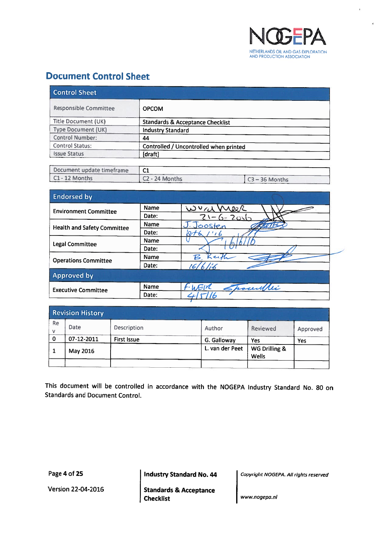

## **Document Control Sheet**

| <b>Control Sheet</b>         |                                             |
|------------------------------|---------------------------------------------|
| <b>Responsible Committee</b> | <b>OPCOM</b>                                |
| Title Document (UK)          | <b>Standards &amp; Acceptance Checklist</b> |
| <b>Type Document (UK)</b>    | <b>Industry Standard</b>                    |
| <b>Control Number:</b>       | 44                                          |
| <b>Control Status:</b>       | Controlled / Uncontrolled when printed      |
| <b>Issue Status</b>          | [draft]                                     |

| Document update timeframe |                  |                  |
|---------------------------|------------------|------------------|
| $C1 - 12$ Months          | $C2 - 24$ Months | $C3 - 36$ Months |

| <b>Endorsed by</b>                 |       |                  |  |  |  |
|------------------------------------|-------|------------------|--|--|--|
| <b>Environment Committee</b>       | Name  | WU/a Meer        |  |  |  |
|                                    | Date: | $21 - 6 - 201 -$ |  |  |  |
| <b>Health and Safety Committee</b> | Name  | Joosten          |  |  |  |
|                                    | Date: | 16               |  |  |  |
| Legal Committee                    | Name  |                  |  |  |  |
|                                    | Date: |                  |  |  |  |
| <b>Operations Committee</b>        | Name  | B. Reith         |  |  |  |
|                                    | Date: | 16/6/            |  |  |  |
| <b>Approved by</b>                 |       |                  |  |  |  |
| <b>Executive Committee</b>         | Name  | WEIR<br>Chourthi |  |  |  |
|                                    | Date: |                  |  |  |  |

| <b>Revision History</b> |             |                    |                 |                        |          |  |  |
|-------------------------|-------------|--------------------|-----------------|------------------------|----------|--|--|
| Re<br>ν                 | <b>Date</b> | <b>Description</b> | Author          | Reviewed               | Approved |  |  |
| 0                       | 07-12-2011  | <b>First Issue</b> | G. Galloway     | Yes                    | Yes      |  |  |
|                         | May 2016    |                    | L. van der Peet | WG Drilling &<br>Wells |          |  |  |
|                         |             |                    |                 |                        |          |  |  |

This document will be controlled in accordance with the NOGEPA Industry Standard No. 80 on **Standards and Document Control.** 

Page 4 of 25

Version 22-04-2016

**Industry Standard No. 44** 

**Standards & Acceptance Checklist** 

Copyright NOGEPA. All rights reserved

www.nogepa.nl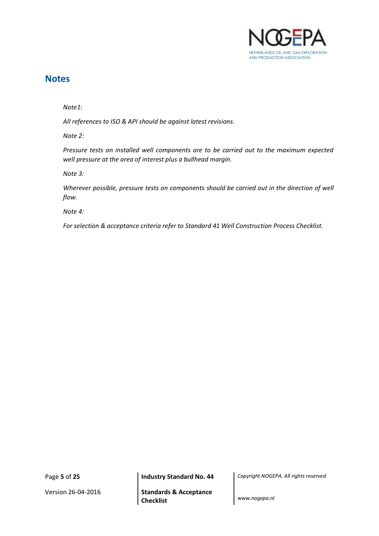

#### <span id="page-4-0"></span>**Notes**

*Note1:*

*All references to ISO & API should be against latest revisions.*

*Note 2:*

*Pressure tests on installed well components are to be carried out to the maximum expected well pressure at the area of interest plus a bullhead margin.*

*Note 3:*

*Wherever possible, pressure tests on components should be carried out in the direction of well flow.*

*Note 4:*

*For selection & acceptance criteria refer to Standard 41 Well Construction Process Checklist.*

Version 26-04-2016 **Standards & Acceptance Checklist** *www.nogepa.nl*

Page **5** of **25 Industry Standard No. 44** *Copyright NOGEPA. All rights reserved*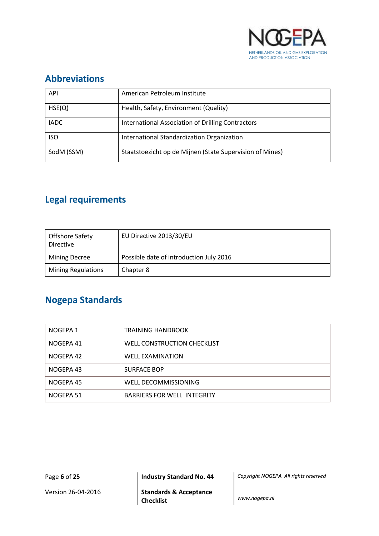

## <span id="page-5-0"></span>**Abbreviations**

| <b>API</b>  | American Petroleum Institute                             |
|-------------|----------------------------------------------------------|
| HSE(Q)      | Health, Safety, Environment (Quality)                    |
| <b>IADC</b> | International Association of Drilling Contractors        |
| ISO         | International Standardization Organization               |
| SodM (SSM)  | Staatstoezicht op de Mijnen (State Supervision of Mines) |

## <span id="page-5-1"></span>**Legal requirements**

| <b>Offshore Safety</b><br>Directive | EU Directive 2013/30/EU                 |
|-------------------------------------|-----------------------------------------|
| <b>Mining Decree</b>                | Possible date of introduction July 2016 |
| <b>Mining Regulations</b>           | Chapter 8                               |

## <span id="page-5-2"></span>**Nogepa Standards**

| NOGEPA 1  | TRAINING HANDBOOK                  |
|-----------|------------------------------------|
| NOGEPA 41 | WELL CONSTRUCTION CHECKLIST        |
| NOGEPA 42 | WELL EXAMINATION                   |
| NOGEPA 43 | <b>SURFACE BOP</b>                 |
| NOGEPA 45 | WELL DECOMMISSIONING               |
| NOGEPA 51 | <b>BARRIERS FOR WELL INTEGRITY</b> |

Version 26-04-2016 **Standards & Acceptance Checklist** *www.nogepa.nl*

Page **6** of **25 Industry Standard No. 44** *Copyright NOGEPA. All rights reserved*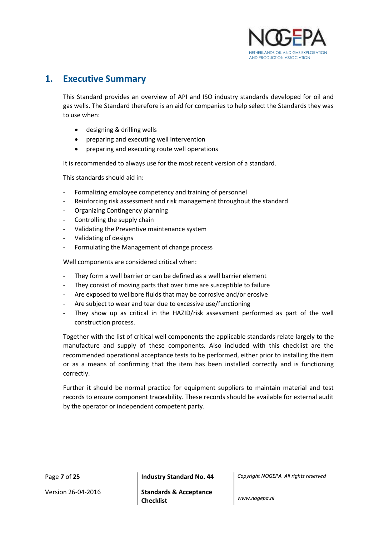

## <span id="page-6-0"></span>**1. Executive Summary**

This Standard provides an overview of API and ISO industry standards developed for oil and gas wells. The Standard therefore is an aid for companies to help select the Standards they was to use when:

- designing & drilling wells
- preparing and executing well intervention
- preparing and executing route well operations

It is recommended to always use for the most recent version of a standard.

This standards should aid in:

- Formalizing employee competency and training of personnel
- Reinforcing risk assessment and risk management throughout the standard
- Organizing Contingency planning
- Controlling the supply chain
- Validating the Preventive maintenance system
- Validating of designs
- Formulating the Management of change process

Well components are considered critical when:

- They form a well barrier or can be defined as a well barrier element
- They consist of moving parts that over time are susceptible to failure
- Are exposed to wellbore fluids that may be corrosive and/or erosive
- Are subject to wear and tear due to excessive use/functioning
- They show up as critical in the HAZID/risk assessment performed as part of the well construction process.

Together with the list of critical well components the applicable standards relate largely to the manufacture and supply of these components. Also included with this checklist are the recommended operational acceptance tests to be performed, either prior to installing the item or as a means of confirming that the item has been installed correctly and is functioning correctly.

Further it should be normal practice for equipment suppliers to maintain material and test records to ensure component traceability. These records should be available for external audit by the operator or independent competent party.

Page **7** of **25 Industry Standard No. 44** *Copyright NOGEPA. All rights reserved*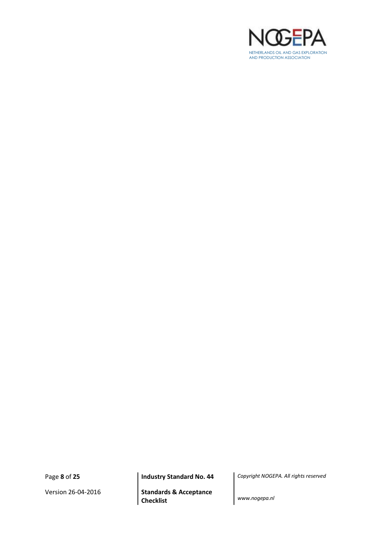

Version 26-04-2016 **Standards & Acceptance Checklist** *www.nogepa.nl*

Page **8** of **25 Industry Standard No. 44** *Copyright NOGEPA. All rights reserved*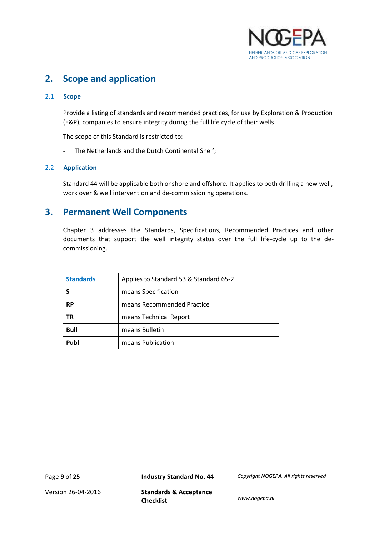

## <span id="page-8-0"></span>**2. Scope and application**

#### <span id="page-8-1"></span>2.1 **Scope**

Provide a listing of standards and recommended practices, for use by Exploration & Production (E&P), companies to ensure integrity during the full life cycle of their wells.

The scope of this Standard is restricted to:

- The Netherlands and the Dutch Continental Shelf;

#### <span id="page-8-2"></span>2.2 **Application**

Standard 44 will be applicable both onshore and offshore. It applies to both drilling a new well, work over & well intervention and de-commissioning operations.

#### <span id="page-8-3"></span>**3. Permanent Well Components**

Chapter 3 addresses the Standards, Specifications, Recommended Practices and other documents that support the well integrity status over the full life-cycle up to the decommissioning.

| <b>Standards</b> | Applies to Standard 53 & Standard 65-2 |
|------------------|----------------------------------------|
|                  | means Specification                    |
| <b>RP</b>        | means Recommended Practice             |
| ΤR               | means Technical Report                 |
| <b>Bull</b>      | means Bulletin                         |
| Publ             | means Publication                      |

Page **9** of **25 Industry Standard No. 44** *Copyright NOGEPA. All rights reserved*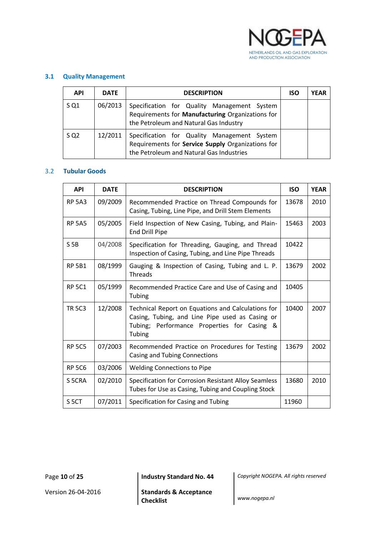

#### **3.1 Quality Management**

| <b>API</b>         | <b>DATE</b> | <b>DESCRIPTION</b>                                                                                                                           | ISO | <b>YEAR</b> |
|--------------------|-------------|----------------------------------------------------------------------------------------------------------------------------------------------|-----|-------------|
| S <sub>Q1</sub>    | 06/2013     | Specification for Quality Management System<br>Requirements for Manufacturing Organizations for<br>the Petroleum and Natural Gas Industry    |     |             |
| $S$ Q <sub>2</sub> | 12/2011     | Specification for Quality Management System<br>Requirements for Service Supply Organizations for<br>the Petroleum and Natural Gas Industries |     |             |

#### <span id="page-9-0"></span>3.2 **Tubular Goods**

| <b>API</b>        | <b>DATE</b> | <b>DESCRIPTION</b>                                                                                                                                                 | <b>ISO</b> | <b>YEAR</b> |
|-------------------|-------------|--------------------------------------------------------------------------------------------------------------------------------------------------------------------|------------|-------------|
| <b>RP 5A3</b>     | 09/2009     | Recommended Practice on Thread Compounds for<br>Casing, Tubing, Line Pipe, and Drill Stem Elements                                                                 | 13678      | 2010        |
| <b>RP 5A5</b>     | 05/2005     | Field Inspection of New Casing, Tubing, and Plain-<br><b>End Drill Pipe</b>                                                                                        | 15463      | 2003        |
| $S$ 5B            | 04/2008     | Specification for Threading, Gauging, and Thread<br>Inspection of Casing, Tubing, and Line Pipe Threads                                                            | 10422      |             |
| <b>RP 5B1</b>     | 08/1999     | Gauging & Inspection of Casing, Tubing and L. P.<br><b>Threads</b>                                                                                                 | 13679      | 2002        |
| <b>RP 5C1</b>     | 05/1999     | Recommended Practice Care and Use of Casing and<br>Tubing                                                                                                          | 10405      |             |
| <b>TR 5C3</b>     | 12/2008     | Technical Report on Equations and Calculations for<br>Casing, Tubing, and Line Pipe used as Casing or<br>Tubing; Performance Properties for Casing<br>୍ଷ<br>Tubing | 10400      | 2007        |
| <b>RP 5C5</b>     | 07/2003     | Recommended Practice on Procedures for Testing<br>Casing and Tubing Connections                                                                                    | 13679      | 2002        |
| <b>RP 5C6</b>     | 03/2006     | <b>Welding Connections to Pipe</b>                                                                                                                                 |            |             |
| S 5CRA            | 02/2010     | Specification for Corrosion Resistant Alloy Seamless<br>Tubes for Use as Casing, Tubing and Coupling Stock                                                         | 13680      | 2010        |
| S <sub>5</sub> CT | 07/2011     | Specification for Casing and Tubing                                                                                                                                | 11960      |             |

Page **10** of **25 Industry Standard No. 44** *Copyright NOGEPA. All rights reserved*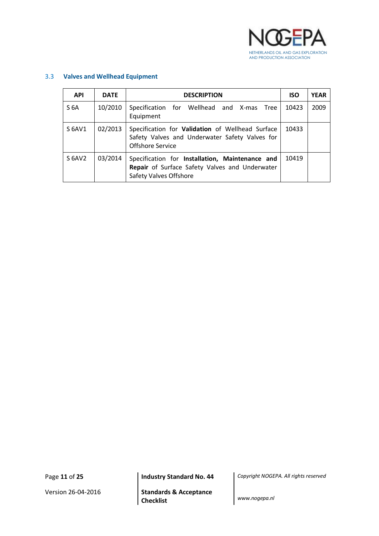

| <b>API</b>         | <b>DATE</b> | <b>DESCRIPTION</b>                                                                                                                 | <b>ISO</b> | <b>YEAR</b> |
|--------------------|-------------|------------------------------------------------------------------------------------------------------------------------------------|------------|-------------|
| S 6A               | 10/2010     | Specification for Wellhead and X-mas Tree<br>Equipment                                                                             | 10423      | 2009        |
| S <sub>6</sub> AV1 | 02/2013     | Specification for Validation of Wellhead Surface<br>Safety Valves and Underwater Safety Valves for<br><b>Offshore Service</b>      | 10433      |             |
| S <sub>6</sub> AV2 | 03/2014     | Specification for Installation, Maintenance and<br>Repair of Surface Safety Valves and Underwater<br><b>Safety Valves Offshore</b> | 10419      |             |

#### <span id="page-10-0"></span>3.3 **Valves and Wellhead Equipment**

Version 26-04-2016 **Standards & Acceptance Checklist** *www.nogepa.nl*

Page **11** of **25 Industry Standard No. 44** *Copyright NOGEPA. All rights reserved*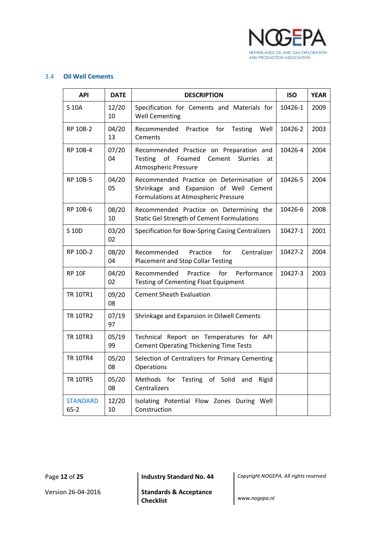

#### <span id="page-11-0"></span>3.4 **Oil Well Cements**

| <b>API</b>                  | <b>DATE</b> | <b>DESCRIPTION</b>                                                                                                                          | <b>ISO</b> | <b>YEAR</b> |
|-----------------------------|-------------|---------------------------------------------------------------------------------------------------------------------------------------------|------------|-------------|
| S 10A                       | 12/20<br>10 | Specification for Cements and Materials for<br><b>Well Cementing</b>                                                                        | 10426-1    | 2009        |
| RP 10B-2                    | 04/20<br>13 | Recommended<br>Practice<br>for<br>Well<br>Testing<br>Cements                                                                                | 10426-2    | 2003        |
| RP 10B-4                    | 07/20<br>04 | Recommended Practice on Preparation and<br>Foamed<br><b>Testing</b><br>of<br>Cement<br><b>Slurries</b><br>at<br><b>Atmospheric Pressure</b> | 10426-4    | 2004        |
| RP 10B-5                    | 04/20<br>05 | Recommended Practice on Determination of<br>Shrinkage and Expansion of Well Cement<br>Formulations at Atmospheric Pressure                  | 10426-5    | 2004        |
| RP 10B-6                    | 08/20<br>10 | Recommended Practice on Determining the<br><b>Static Gel Strength of Cement Formulations</b>                                                | 10426-6    | 2008        |
| S 10D                       | 03/20<br>02 | Specification for Bow-Spring Casing Centralizers                                                                                            | 10427-1    | 2001        |
| RP 10D-2                    | 08/20<br>04 | Practice<br>for<br>Centralizer<br>Recommended<br><b>Placement and Stop Collar Testing</b>                                                   | 10427-2    | 2004        |
| <b>RP 10F</b>               | 04/20<br>02 | for<br>Performance<br>Recommended<br>Practice<br><b>Testing of Cementing Float Equipment</b>                                                | 10427-3    | 2003        |
| <b>TR 10TR1</b>             | 09/20<br>08 | <b>Cement Sheath Evaluation</b>                                                                                                             |            |             |
| <b>TR 10TR2</b>             | 07/19<br>97 | Shrinkage and Expansion in Oilwell Cements                                                                                                  |            |             |
| <b>TR 10TR3</b>             | 05/19<br>99 | Technical Report on Temperatures for API<br><b>Cement Operating Thickening Time Tests</b>                                                   |            |             |
| <b>TR 10TR4</b>             | 05/20<br>08 | Selection of Centralizers for Primary Cementing<br>Operations                                                                               |            |             |
| <b>TR 10TR5</b>             | 05/20<br>08 | Methods for<br>Testing of Solid<br>Rigid<br>and<br>Centralizers                                                                             |            |             |
| <b>STANDARD</b><br>$65 - 2$ | 12/20<br>10 | Isolating Potential Flow Zones During Well<br>Construction                                                                                  |            |             |

Page **12** of **25 Industry Standard No. 44** *Copyright NOGEPA. All rights reserved*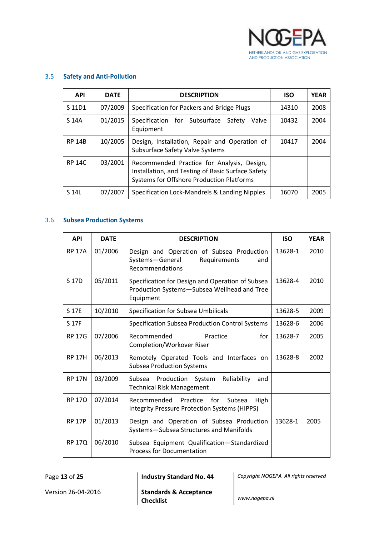

|               | <b>API</b> | <b>DATE</b> | <b>DESCRIPTION</b>                                                                                                                                  | <b>ISO</b> | <b>YEAR</b> |
|---------------|------------|-------------|-----------------------------------------------------------------------------------------------------------------------------------------------------|------------|-------------|
| S 11D1        |            | 07/2009     | Specification for Packers and Bridge Plugs                                                                                                          | 14310      | 2008        |
| S 14A         |            | 01/2015     | Specification for Subsurface<br>Safety<br>Valve<br>Equipment                                                                                        | 10432      | 2004        |
| <b>RP 14B</b> |            | 10/2005     | Design, Installation, Repair and Operation of<br><b>Subsurface Safety Valve Systems</b>                                                             | 10417      | 2004        |
| <b>RP 14C</b> |            | 03/2001     | Recommended Practice for Analysis, Design,<br>Installation, and Testing of Basic Surface Safety<br><b>Systems for Offshore Production Platforms</b> |            |             |
| S 14L         |            | 07/2007     | Specification Lock-Mandrels & Landing Nipples                                                                                                       | 16070      | 2005        |

#### <span id="page-12-0"></span>3.5 **Safety and Anti-Pollution**

#### <span id="page-12-1"></span>3.6 **Subsea Production Systems**

| <b>API</b>    | <b>DATE</b> | <b>DESCRIPTION</b>                                                                                              | <b>ISO</b> | <b>YEAR</b> |
|---------------|-------------|-----------------------------------------------------------------------------------------------------------------|------------|-------------|
| <b>RP 17A</b> | 01/2006     | Design and Operation of Subsea Production<br>Systems-General<br>Requirements<br>and<br>Recommendations          | 13628-1    | 2010        |
| S 17D         | 05/2011     | Specification for Design and Operation of Subsea<br>Production Systems-Subsea Wellhead and Tree<br>Equipment    | 13628-4    | 2010        |
| S 17E         | 10/2010     | Specification for Subsea Umbilicals                                                                             | 13628-5    | 2009        |
| <b>S 17F</b>  |             | Specification Subsea Production Control Systems                                                                 | 13628-6    | 2006        |
| <b>RP 17G</b> | 07/2006     | Recommended<br>Practice<br>for<br>Completion/Workover Riser                                                     | 13628-7    | 2005        |
| <b>RP 17H</b> | 06/2013     | Remotely Operated Tools and Interfaces on<br><b>Subsea Production Systems</b>                                   | 13628-8    | 2002        |
| <b>RP 17N</b> | 03/2009     | Subsea Production System<br>Reliability<br>and<br><b>Technical Risk Management</b>                              |            |             |
| <b>RP 170</b> | 07/2014     | Recommended<br>Practice<br>for<br>Subsea<br><b>High</b><br><b>Integrity Pressure Protection Systems (HIPPS)</b> |            |             |
| <b>RP 17P</b> | 01/2013     | Design and Operation of Subsea Production<br>Systems-Subsea Structures and Manifolds                            | 13628-1    | 2005        |
| <b>RP 17Q</b> | 06/2010     | Subsea Equipment Qualification-Standardized<br><b>Process for Documentation</b>                                 |            |             |

Page **13** of **25 Industry Standard No. 44** *Copyright NOGEPA. All rights reserved*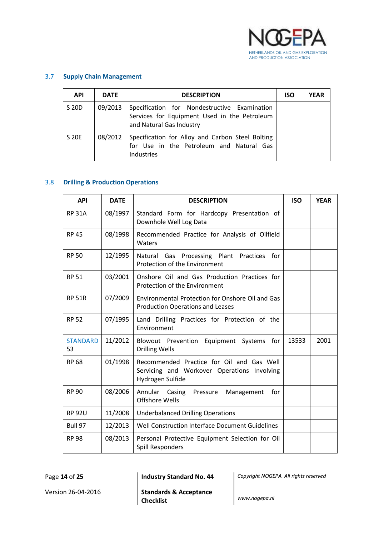

#### <span id="page-13-0"></span>3.7 **Supply Chain Management**

| <b>API</b> | <b>DATE</b> | <b>DESCRIPTION</b>                                                                                                       | <b>ISO</b> | <b>YEAR</b> |
|------------|-------------|--------------------------------------------------------------------------------------------------------------------------|------------|-------------|
| S 20D      | 09/2013     | Specification for Nondestructive Examination<br>Services for Equipment Used in the Petroleum<br>and Natural Gas Industry |            |             |
| S 20E      | 08/2012     | Specification for Alloy and Carbon Steel Bolting<br>for Use in the Petroleum and Natural Gas<br>Industries               |            |             |

#### <span id="page-13-1"></span>3.8 **Drilling & Production Operations**

| <b>API</b>            | <b>DATE</b> | <b>DESCRIPTION</b>                                                                                           | <b>ISO</b> | <b>YEAR</b> |
|-----------------------|-------------|--------------------------------------------------------------------------------------------------------------|------------|-------------|
| <b>RP 31A</b>         | 08/1997     | Standard Form for Hardcopy Presentation of<br>Downhole Well Log Data                                         |            |             |
| <b>RP 45</b>          | 08/1998     | Recommended Practice for Analysis of Oilfield<br><b>Waters</b>                                               |            |             |
| <b>RP 50</b>          | 12/1995     | Natural Gas Processing Plant Practices for<br>Protection of the Environment                                  |            |             |
| <b>RP 51</b>          | 03/2001     | Onshore Oil and Gas Production Practices for<br>Protection of the Environment                                |            |             |
| <b>RP 51R</b>         | 07/2009     | Environmental Protection for Onshore Oil and Gas<br><b>Production Operations and Leases</b>                  |            |             |
| <b>RP 52</b>          | 07/1995     | Land Drilling Practices for Protection of the<br>Environment                                                 |            |             |
| <b>STANDARD</b><br>53 | 11/2012     | Blowout Prevention Equipment Systems for<br><b>Drilling Wells</b>                                            | 13533      | 2001        |
| <b>RP 68</b>          | 01/1998     | Recommended Practice for Oil and Gas Well<br>Servicing and Workover Operations Involving<br>Hydrogen Sulfide |            |             |
| <b>RP 90</b>          | 08/2006     | Annular Casing<br>Pressure<br>Management<br>for<br><b>Offshore Wells</b>                                     |            |             |
| <b>RP 92U</b>         | 11/2008     | <b>Underbalanced Drilling Operations</b>                                                                     |            |             |
| Bull 97               | 12/2013     | Well Construction Interface Document Guidelines                                                              |            |             |
| <b>RP 98</b>          | 08/2013     | Personal Protective Equipment Selection for Oil<br><b>Spill Responders</b>                                   |            |             |

Page **14** of **25 Industry Standard No. 44** *Copyright NOGEPA. All rights reserved*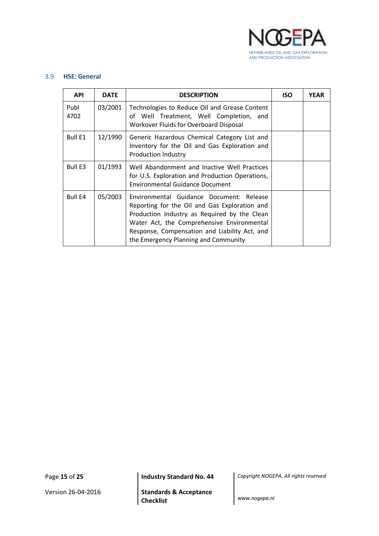

#### <span id="page-14-0"></span>3.9 **HSE: General**

| <b>API</b>   | <b>DATE</b> | <b>DESCRIPTION</b>                                                                                                                                                                                                                                                               | <b>ISO</b> | <b>YFAR</b> |
|--------------|-------------|----------------------------------------------------------------------------------------------------------------------------------------------------------------------------------------------------------------------------------------------------------------------------------|------------|-------------|
| Publ<br>4702 | 03/2001     | Technologies to Reduce Oil and Grease Content<br>of Well Treatment, Well Completion, and<br>Workover Fluids for Overboard Disposal                                                                                                                                               |            |             |
| Bull E1      | 12/1990     | Generic Hazardous Chemical Category List and<br>Inventory for the Oil and Gas Exploration and<br><b>Production Industry</b>                                                                                                                                                      |            |             |
| Bull E3      | 01/1993     | Well Abandonment and Inactive Well Practices<br>for U.S. Exploration and Production Operations,<br><b>Environmental Guidance Document</b>                                                                                                                                        |            |             |
| Bull E4      | 05/2003     | Environmental Guidance Document: Release<br>Reporting for the Oil and Gas Exploration and<br>Production Industry as Required by the Clean<br>Water Act, the Comprehensive Environmental<br>Response, Compensation and Liability Act, and<br>the Emergency Planning and Community |            |             |

Version 26-04-2016 **Standards & Acceptance Checklist** *www.nogepa.nl*

Page **15** of **25 Industry Standard No. 44** *Copyright NOGEPA. All rights reserved*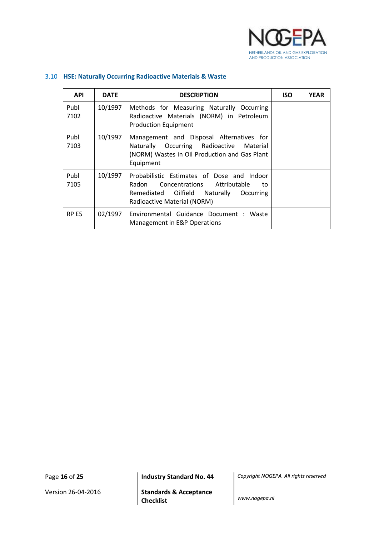

| <b>API</b>   | <b>DATE</b> | <b>DESCRIPTION</b>                                                                                                                                                       | <b>ISO</b> | <b>YEAR</b> |
|--------------|-------------|--------------------------------------------------------------------------------------------------------------------------------------------------------------------------|------------|-------------|
| Publ<br>7102 | 10/1997     | Methods for Measuring Naturally Occurring<br>Radioactive Materials (NORM) in Petroleum<br><b>Production Equipment</b>                                                    |            |             |
| Publ<br>7103 | 10/1997     | Management and Disposal Alternatives for<br>Naturally Occurring Radioactive<br>Material<br>(NORM) Wastes in Oil Production and Gas Plant<br>Equipment                    |            |             |
| Publ<br>7105 | 10/1997     | Probabilistic Estimates of Dose and Indoor<br>Concentrations Attributable<br>Radon<br>to<br>Remediated Oilfield<br>Naturally<br>Occurring<br>Radioactive Material (NORM) |            |             |
| RP E5        | 02/1997     | Environmental Guidance Document : Waste<br><b>Management in E&amp;P Operations</b>                                                                                       |            |             |

#### <span id="page-15-0"></span>3.10 **HSE: Naturally Occurring Radioactive Materials & Waste**

Version 26-04-2016 **Standards & Acceptance Checklist** *www.nogepa.nl*

Page **16** of **25 Industry Standard No. 44** *Copyright NOGEPA. All rights reserved*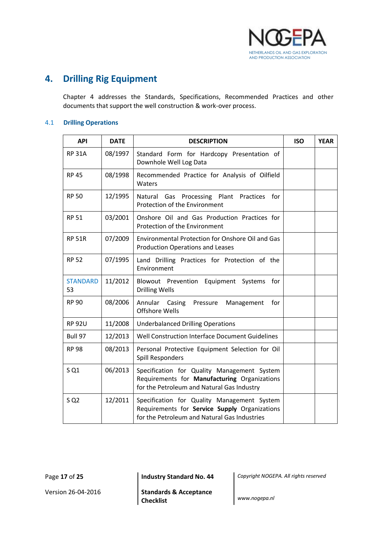

## <span id="page-16-0"></span>**4. Drilling Rig Equipment**

Chapter 4 addresses the Standards, Specifications, Recommended Practices and other documents that support the well construction & work-over process.

#### <span id="page-16-1"></span>4.1 **Drilling Operations**

| <b>API</b>            | <b>DATE</b> | <b>DESCRIPTION</b>                                                                                                                           | <b>ISO</b> | <b>YEAR</b> |
|-----------------------|-------------|----------------------------------------------------------------------------------------------------------------------------------------------|------------|-------------|
| <b>RP 31A</b>         | 08/1997     | Standard Form for Hardcopy Presentation of<br>Downhole Well Log Data                                                                         |            |             |
| <b>RP 45</b>          | 08/1998     | Recommended Practice for Analysis of Oilfield<br>Waters                                                                                      |            |             |
| <b>RP 50</b>          | 12/1995     | Natural Gas Processing Plant Practices<br>for<br>Protection of the Environment                                                               |            |             |
| <b>RP 51</b>          | 03/2001     | Onshore Oil and Gas Production Practices for<br>Protection of the Environment                                                                |            |             |
| <b>RP 51R</b>         | 07/2009     | Environmental Protection for Onshore Oil and Gas<br><b>Production Operations and Leases</b>                                                  |            |             |
| <b>RP 52</b>          | 07/1995     | Land Drilling Practices for Protection of the<br>Environment                                                                                 |            |             |
| <b>STANDARD</b><br>53 | 11/2012     | Blowout Prevention Equipment Systems<br>for<br><b>Drilling Wells</b>                                                                         |            |             |
| <b>RP 90</b>          | 08/2006     | Annular Casing Pressure<br>Management<br>for<br>Offshore Wells                                                                               |            |             |
| <b>RP 92U</b>         | 11/2008     | <b>Underbalanced Drilling Operations</b>                                                                                                     |            |             |
| Bull 97               | 12/2013     | Well Construction Interface Document Guidelines                                                                                              |            |             |
| <b>RP 98</b>          | 08/2013     | Personal Protective Equipment Selection for Oil<br>Spill Responders                                                                          |            |             |
| S <sub>Q1</sub>       | 06/2013     | Specification for Quality Management System<br>Requirements for Manufacturing Organizations<br>for the Petroleum and Natural Gas Industry    |            |             |
| $S$ Q <sub>2</sub>    | 12/2011     | Specification for Quality Management System<br>Requirements for Service Supply Organizations<br>for the Petroleum and Natural Gas Industries |            |             |

Page **17** of **25 Industry Standard No. 44** *Copyright NOGEPA. All rights reserved*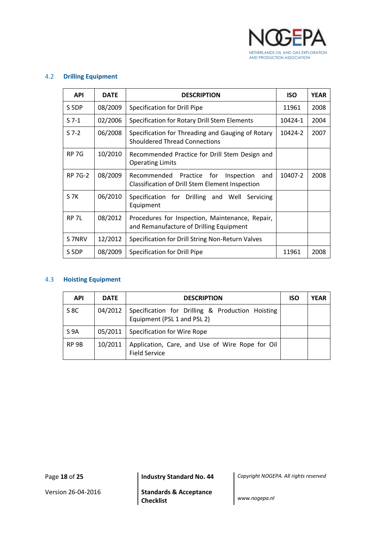

#### <span id="page-17-0"></span>4.2 **Drilling Equipment**

| <b>API</b>        | <b>DATE</b> | <b>DESCRIPTION</b>                                                                                  | <b>ISO</b> | <b>YEAR</b> |
|-------------------|-------------|-----------------------------------------------------------------------------------------------------|------------|-------------|
| S <sub>5</sub> DP | 08/2009     | Specification for Drill Pipe                                                                        | 11961      | 2008        |
| $S$ 7-1           | 02/2006     | Specification for Rotary Drill Stem Elements                                                        | 10424-1    | 2004        |
| $S$ 7-2           | 06/2008     | Specification for Threading and Gauging of Rotary<br><b>Shouldered Thread Connections</b>           | 10424-2    | 2007        |
| RP <sub>7G</sub>  | 10/2010     | Recommended Practice for Drill Stem Design and<br><b>Operating Limits</b>                           |            |             |
| <b>RP 7G-2</b>    | 08/2009     | Recommended<br>Practice for<br>Inspection<br>and<br>Classification of Drill Stem Element Inspection | 10407-2    | 2008        |
| <b>S7K</b>        | 06/2010     | Specification for Drilling and Well<br>Servicing<br>Equipment                                       |            |             |
| RP <sub>7L</sub>  | 08/2012     | Procedures for Inspection, Maintenance, Repair,<br>and Remanufacture of Drilling Equipment          |            |             |
| S7NRV             | 12/2012     | Specification for Drill String Non-Return Valves                                                    |            |             |
| S <sub>5DP</sub>  | 08/2009     | Specification for Drill Pipe                                                                        | 11961      | 2008        |

#### <span id="page-17-1"></span>4.3 **Hoisting Equipment**

| <b>API</b>       | <b>DATE</b> | <b>DESCRIPTION</b>                                                              | <b>ISO</b> | <b>YEAR</b> |
|------------------|-------------|---------------------------------------------------------------------------------|------------|-------------|
| S <sub>8C</sub>  | 04/2012     | Specification for Drilling & Production Hoisting<br>Equipment (PSL 1 and PSL 2) |            |             |
| S <sub>9</sub> A | 05/2011     | Specification for Wire Rope                                                     |            |             |
| RP <sub>9B</sub> | 10/2011     | Application, Care, and Use of Wire Rope for Oil<br><b>Field Service</b>         |            |             |

Page **18** of **25 Industry Standard No. 44** *Copyright NOGEPA. All rights reserved*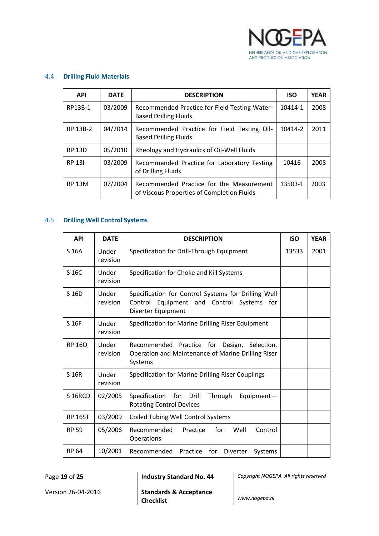

#### <span id="page-18-0"></span>4.4 **Drilling Fluid Materials**

| <b>API</b>    | <b>DATE</b> | <b>DESCRIPTION</b>                                                                     | <b>ISO</b> | <b>YEAR</b> |
|---------------|-------------|----------------------------------------------------------------------------------------|------------|-------------|
| RP13B-1       | 03/2009     | Recommended Practice for Field Testing Water-<br><b>Based Drilling Fluids</b>          | 10414-1    | 2008        |
| RP 13B-2      | 04/2014     | Recommended Practice for Field Testing Oil-<br><b>Based Drilling Fluids</b>            | 10414-2    | 2011        |
| <b>RP 13D</b> | 05/2010     | Rheology and Hydraulics of Oil-Well Fluids                                             |            |             |
| <b>RP 131</b> | 03/2009     | Recommended Practice for Laboratory Testing<br>of Drilling Fluids                      | 10416      | 2008        |
| <b>RP 13M</b> | 07/2004     | Recommended Practice for the Measurement<br>of Viscous Properties of Completion Fluids | 13503-1    | 2003        |

#### <span id="page-18-1"></span>4.5 **Drilling Well Control Systems**

| <b>API</b>     | <b>DATE</b>       | <b>DESCRIPTION</b>                                                                                                     | <b>ISO</b> | <b>YEAR</b> |
|----------------|-------------------|------------------------------------------------------------------------------------------------------------------------|------------|-------------|
| S 16A          | Under<br>revision | Specification for Drill-Through Equipment                                                                              | 13533      | 2001        |
| S 16C          | Under<br>revision | Specification for Choke and Kill Systems                                                                               |            |             |
| S 16D          | Under<br>revision | Specification for Control Systems for Drilling Well<br>Control Equipment and Control Systems for<br>Diverter Equipment |            |             |
| S 16F          | Under<br>revision | Specification for Marine Drilling Riser Equipment                                                                      |            |             |
| <b>RP 16Q</b>  | Under<br>revision | Recommended<br>Practice for<br>Design, Selection,<br>Operation and Maintenance of Marine Drilling Riser<br>Systems     |            |             |
| S 16R          | Under<br>revision | <b>Specification for Marine Drilling Riser Couplings</b>                                                               |            |             |
| <b>S 16RCD</b> | 02/2005           | Specification for<br>Drill<br>Through<br>$Equipment-$<br><b>Rotating Control Devices</b>                               |            |             |
| <b>RP 16ST</b> | 03/2009           | <b>Coiled Tubing Well Control Systems</b>                                                                              |            |             |
| <b>RP 59</b>   | 05/2006           | Recommended<br>Practice<br>for<br>Well<br>Control<br>Operations                                                        |            |             |
| <b>RP 64</b>   | 10/2001           | Recommended<br>Practice for<br>Diverter<br>Systems                                                                     |            |             |

Page **19** of **25 Industry Standard No. 44** *Copyright NOGEPA. All rights reserved*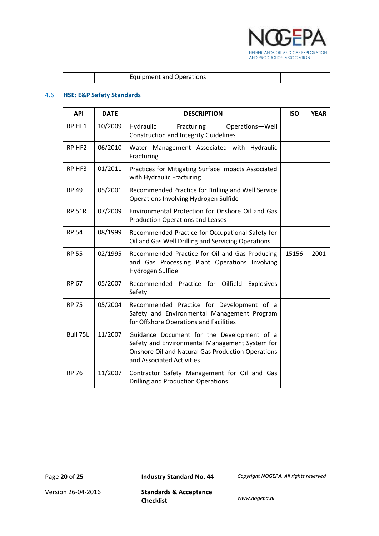

| - -- -<br>$   -$<br>$-1$          |  |
|-----------------------------------|--|
| <b>SALIGNAME OF STREET ASSESS</b> |  |

#### <span id="page-19-0"></span>4.6 **HSE: E&P Safety Standards**

| <b>API</b>    | <b>DATE</b> | <b>DESCRIPTION</b>                                                                                                                                                             | <b>ISO</b> | <b>YEAR</b> |
|---------------|-------------|--------------------------------------------------------------------------------------------------------------------------------------------------------------------------------|------------|-------------|
| RP HF1        | 10/2009     | Hydraulic<br>Fracturing<br>Operations-Well<br><b>Construction and Integrity Guidelines</b>                                                                                     |            |             |
| RP HF2        | 06/2010     | Water Management Associated with Hydraulic<br>Fracturing                                                                                                                       |            |             |
| RP HF3        | 01/2011     | Practices for Mitigating Surface Impacts Associated<br>with Hydraulic Fracturing                                                                                               |            |             |
| <b>RP 49</b>  | 05/2001     | Recommended Practice for Drilling and Well Service<br>Operations Involving Hydrogen Sulfide                                                                                    |            |             |
| <b>RP 51R</b> | 07/2009     | Environmental Protection for Onshore Oil and Gas<br><b>Production Operations and Leases</b>                                                                                    |            |             |
| <b>RP 54</b>  | 08/1999     | Recommended Practice for Occupational Safety for<br>Oil and Gas Well Drilling and Servicing Operations                                                                         |            |             |
| <b>RP 55</b>  | 02/1995     | Recommended Practice for Oil and Gas Producing<br>and Gas Processing Plant Operations Involving<br>Hydrogen Sulfide                                                            | 15156      | 2001        |
| <b>RP 67</b>  | 05/2007     | Recommended Practice for Oilfield<br><b>Explosives</b><br>Safety                                                                                                               |            |             |
| <b>RP 75</b>  | 05/2004     | Recommended Practice for Development of a<br>Safety and Environmental Management Program<br>for Offshore Operations and Facilities                                             |            |             |
| Bull 75L      | 11/2007     | Guidance Document for the Development of a<br>Safety and Environmental Management System for<br>Onshore Oil and Natural Gas Production Operations<br>and Associated Activities |            |             |
| <b>RP 76</b>  | 11/2007     | Contractor Safety Management for Oil and Gas<br><b>Drilling and Production Operations</b>                                                                                      |            |             |

Version 26-04-2016 **Standards & Acceptance Checklist** *www.nogepa.nl*

Page **20** of **25 Industry Standard No. 44** *Copyright NOGEPA. All rights reserved*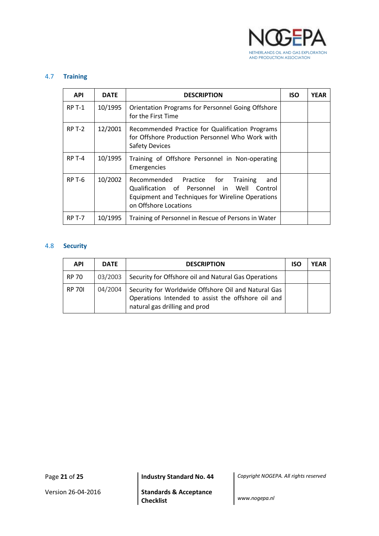

#### <span id="page-20-0"></span>4.7 **Training**

| <b>API</b>    | <b>DATE</b> | <b>DESCRIPTION</b>                                                                                                                                                     | <b>ISO</b> | <b>YEAR</b> |
|---------------|-------------|------------------------------------------------------------------------------------------------------------------------------------------------------------------------|------------|-------------|
| $RPT-1$       | 10/1995     | Orientation Programs for Personnel Going Offshore<br>for the First Time                                                                                                |            |             |
| $RPT-2$       | 12/2001     | Recommended Practice for Qualification Programs<br>for Offshore Production Personnel Who Work with<br><b>Safety Devices</b>                                            |            |             |
| RP T-4        | 10/1995     | Training of Offshore Personnel in Non-operating<br>Emergencies                                                                                                         |            |             |
| $RPT-6$       | 10/2002     | Recommended Practice for<br>Training<br>and<br>Qualification of Personnel in Well Control<br>Equipment and Techniques for Wireline Operations<br>on Offshore Locations |            |             |
| <b>RP T-7</b> | 10/1995     | Training of Personnel in Rescue of Persons in Water                                                                                                                    |            |             |

#### <span id="page-20-1"></span>4.8 **Security**

| <b>API</b>    | <b>DATE</b> | <b>DESCRIPTION</b>                                                                                                                         | <b>ISO</b> | <b>YEAR</b> |
|---------------|-------------|--------------------------------------------------------------------------------------------------------------------------------------------|------------|-------------|
| <b>RP 70</b>  | 03/2003     | Security for Offshore oil and Natural Gas Operations                                                                                       |            |             |
| <b>RP 701</b> | 04/2004     | Security for Worldwide Offshore Oil and Natural Gas<br>Operations Intended to assist the offshore oil and<br>natural gas drilling and prod |            |             |

Page **21** of **25 Industry Standard No. 44** *Copyright NOGEPA. All rights reserved*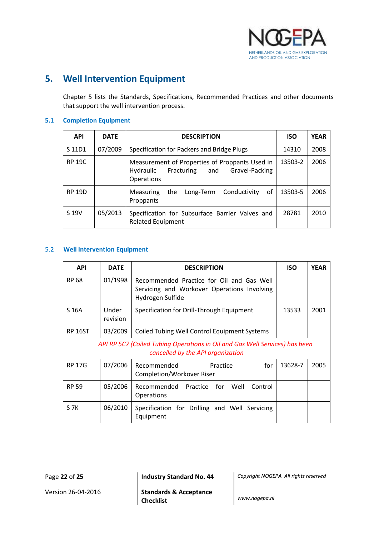

### <span id="page-21-0"></span>**5. Well Intervention Equipment**

Chapter 5 lists the Standards, Specifications, Recommended Practices and other documents that support the well intervention process.

#### **5.1 Completion Equipment**

| <b>API</b>    | <b>DATE</b> | <b>DESCRIPTION</b>                                                                                                      | <b>ISO</b> | <b>YEAR</b> |
|---------------|-------------|-------------------------------------------------------------------------------------------------------------------------|------------|-------------|
| S 11D1        | 07/2009     | Specification for Packers and Bridge Plugs                                                                              | 14310      | 2008        |
| <b>RP 19C</b> |             | Measurement of Properties of Proppants Used in<br>Gravel-Packing<br>Fracturing<br>and<br><b>Hydraulic</b><br>Operations | 13503-2    | 2006        |
| <b>RP 19D</b> |             | οf<br>Conductivity<br>Long-Term<br>Measuring<br>the<br>Proppants                                                        | 13503-5    | 2006        |
| S 19V         | 05/2013     | Specification for Subsurface Barrier Valves and<br><b>Related Equipment</b>                                             | 28781      | 2010        |

#### <span id="page-21-1"></span>5.2 **Well Intervention Equipment**

| <b>API</b>                                                                                                       | <b>DATE</b>       | <b>DESCRIPTION</b>                                                                                           | <b>ISO</b> | <b>YEAR</b> |
|------------------------------------------------------------------------------------------------------------------|-------------------|--------------------------------------------------------------------------------------------------------------|------------|-------------|
| <b>RP 68</b>                                                                                                     | 01/1998           | Recommended Practice for Oil and Gas Well<br>Servicing and Workover Operations Involving<br>Hydrogen Sulfide |            |             |
| S 16A                                                                                                            | Under<br>revision | Specification for Drill-Through Equipment                                                                    | 13533      | 2001        |
| <b>RP 16ST</b>                                                                                                   | 03/2009           | Coiled Tubing Well Control Equipment Systems                                                                 |            |             |
| API RP 5C7 (Coiled Tubing Operations in Oil and Gas Well Services) has been<br>cancelled by the API organization |                   |                                                                                                              |            |             |
| <b>RP 17G</b>                                                                                                    | 07/2006           | Recommended<br>for<br>Practice<br>Completion/Workover Riser                                                  | 13628-7    | 2005        |
| <b>RP 59</b>                                                                                                     | 05/2006           | Well<br>Recommended<br>Practice for<br>Control<br><b>Operations</b>                                          |            |             |
| S <sub>7K</sub>                                                                                                  | 06/2010           | Specification for Drilling and Well Servicing<br>Equipment                                                   |            |             |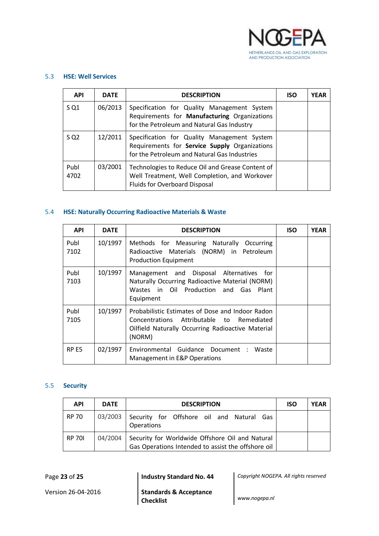

#### <span id="page-22-0"></span>5.3 **HSE: Well Services**

| <b>API</b>         | <b>DATE</b> | <b>DESCRIPTION</b>                                                                                                                           | <b>ISO</b> | <b>YEAR</b> |
|--------------------|-------------|----------------------------------------------------------------------------------------------------------------------------------------------|------------|-------------|
| $S$ Q <sub>1</sub> | 06/2013     | Specification for Quality Management System<br>Requirements for Manufacturing Organizations<br>for the Petroleum and Natural Gas Industry    |            |             |
| $S$ Q <sub>2</sub> | 12/2011     | Specification for Quality Management System<br>Requirements for Service Supply Organizations<br>for the Petroleum and Natural Gas Industries |            |             |
| Publ<br>4702       | 03/2001     | Technologies to Reduce Oil and Grease Content of<br>Well Treatment, Well Completion, and Workover<br>Fluids for Overboard Disposal           |            |             |

#### <span id="page-22-1"></span>5.4 **HSE: Naturally Occurring Radioactive Materials & Waste**

| <b>API</b>       | <b>DATE</b> | <b>DESCRIPTION</b>                                                                                                                                           | <b>ISO</b> | <b>YEAR</b> |
|------------------|-------------|--------------------------------------------------------------------------------------------------------------------------------------------------------------|------------|-------------|
| Publ<br>7102     | 10/1997     | Methods for Measuring Naturally<br>Occurring<br>Radioactive Materials (NORM) in Petroleum<br><b>Production Equipment</b>                                     |            |             |
| Publ<br>7103     | 10/1997     | Management and Disposal Alternatives for<br>Naturally Occurring Radioactive Material (NORM)<br>Wastes in Oil Production and Gas Plant<br>Equipment           |            |             |
| Publ<br>7105     | 10/1997     | Probabilistic Estimates of Dose and Indoor Radon<br>Concentrations Attributable to Remediated<br>Oilfield Naturally Occurring Radioactive Material<br>(NORM) |            |             |
| RP <sub>E5</sub> | 02/1997     | Environmental Guidance Document : Waste<br>Management in E&P Operations                                                                                      |            |             |

#### <span id="page-22-2"></span>5.5 **Security**

| <b>API</b>    | <b>DATE</b> | <b>DESCRIPTION</b>                                                                                    | <b>ISO</b> | <b>YEAR</b> |
|---------------|-------------|-------------------------------------------------------------------------------------------------------|------------|-------------|
| <b>RP 70</b>  | 03/2003     | Security for Offshore oil and Natural Gas<br><b>Operations</b>                                        |            |             |
| <b>RP 701</b> | 04/2004     | Security for Worldwide Offshore Oil and Natural<br>Gas Operations Intended to assist the offshore oil |            |             |

Page **23** of **25 Industry Standard No. 44** *Copyright NOGEPA. All rights reserved*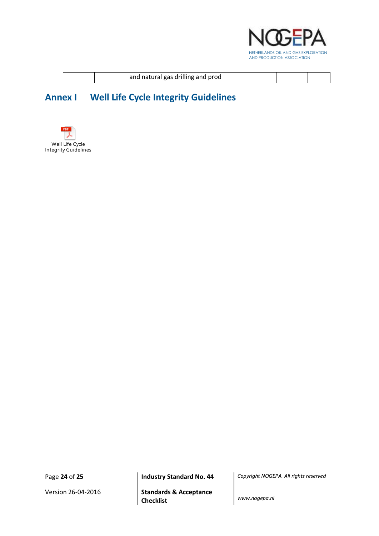

and natural gas drilling and prod

## <span id="page-23-0"></span>**Annex I Well Life Cycle Integrity Guidelines**



Version 26-04-2016 **Standards & Acceptance Checklist** *www.nogepa.nl*

Page **24** of **25 Industry Standard No. 44** *Copyright NOGEPA. All rights reserved*